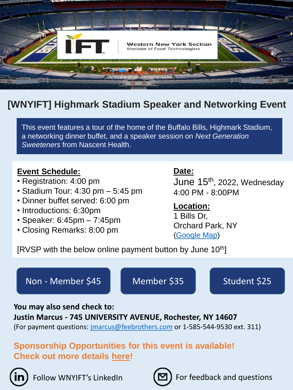

# **[WNYIFT] Highmark Stadium Speaker and Networking Event**

This event features a tour of the home of the Buffalo Bills, Highmark Stadium, a networking dinner buffet, and a speaker session on *Next Generation Sweeteners* from Nascent Health.

#### **Event Schedule:**

- Registration: 4:00 pm
- Stadium Tour: 4:30 pm 5:45 pm
- Dinner buffet served: 6:00 pm
- Introductions: 6:30pm
- Speaker: 6:45pm 7:45pm
- Closing Remarks: 8:00 pm

#### **Date:**

June 15th , 2022, Wednesday 4:00 PM - 8:00PM

#### **Location:**

1 Bills Dr, Orchard Park, NY [\(Google Map\)](https://www.google.com/maps/place/Highmark+Stadium/@42.7737546,-78.7869723,15z/data=!4m2!3m1!1s0x0:0xf0b562b249eaa7f5?sa=X&hl=en&ved=2ahUKEwivkIfO1tv3AhUdjIkEHXJ7AYQQ_BJ6BQiGARAF)

[RVSP with the below online payment button by June  $10<sup>th</sup>$ ]

## Non - [Member \\$45](https://checkout.square.site/merchant/MLXJNY94AJTGV/checkout/55XSDMFLPPEJPM4S2T7EGXGD) [Member \\$35](https://checkout.square.site/merchant/MLXJNY94AJTGV/checkout/G4TYNW4I2XM6TVXMUOEK4M3E) [Student \\$25](https://checkout.square.site/merchant/MLXJNY94AJTGV/checkout/YW6EPY32MPCPCTHWZ7233QN2)

**You may also send check to:** 

# **Justin Marcus - 745 UNIVERSITY AVENUE, Rochester, NY 14607**

(For payment questions: [jmarcus@feebrothers.com](mailto:jmarcus@feebrothers.com) or 1-585-544-9530 ext. 311)

## **Sponsorship Opportunities for this event is available! Check out more details here!**





Follow WNYIFT's LinkedIn  $\left[\sum_{n=1}^{\infty}\right]$  For feedback and questions